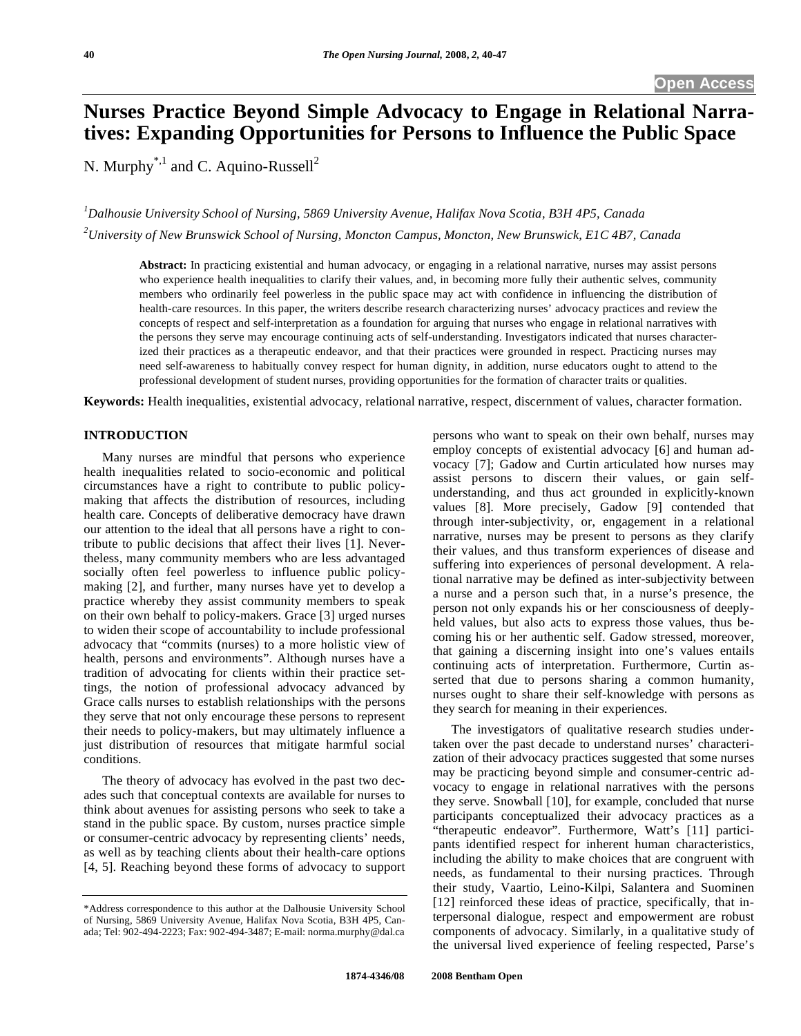# **Nurses Practice Beyond Simple Advocacy to Engage in Relational Narratives: Expanding Opportunities for Persons to Influence the Public Space**

N. Murphy<sup>\*,1</sup> and C. Aquino-Russell<sup>2</sup>

*1 Dalhousie University School of Nursing, 5869 University Avenue, Halifax Nova Scotia, B3H 4P5, Canada 2 University of New Brunswick School of Nursing, Moncton Campus, Moncton, New Brunswick, E1C 4B7, Canada* 

**Abstract:** In practicing existential and human advocacy, or engaging in a relational narrative, nurses may assist persons who experience health inequalities to clarify their values, and, in becoming more fully their authentic selves, community members who ordinarily feel powerless in the public space may act with confidence in influencing the distribution of health-care resources. In this paper, the writers describe research characterizing nurses' advocacy practices and review the

concepts of respect and self-interpretation as a foundation for arguing that nurses who engage in relational narratives with the persons they serve may encourage continuing acts of self-understanding. Investigators indicated that nurses characterized their practices as a therapeutic endeavor, and that their practices were grounded in respect. Practicing nurses may need self-awareness to habitually convey respect for human dignity, in addition, nurse educators ought to attend to the professional development of student nurses, providing opportunities for the formation of character traits or qualities.

**Keywords:** Health inequalities, existential advocacy, relational narrative, respect, discernment of values, character formation.

## **INTRODUCTION**

 Many nurses are mindful that persons who experience health inequalities related to socio-economic and political circumstances have a right to contribute to public policymaking that affects the distribution of resources, including health care. Concepts of deliberative democracy have drawn our attention to the ideal that all persons have a right to contribute to public decisions that affect their lives [1]. Nevertheless, many community members who are less advantaged socially often feel powerless to influence public policymaking [2], and further, many nurses have yet to develop a practice whereby they assist community members to speak on their own behalf to policy-makers. Grace [3] urged nurses to widen their scope of accountability to include professional advocacy that "commits (nurses) to a more holistic view of health, persons and environments". Although nurses have a tradition of advocating for clients within their practice settings, the notion of professional advocacy advanced by Grace calls nurses to establish relationships with the persons they serve that not only encourage these persons to represent their needs to policy-makers, but may ultimately influence a just distribution of resources that mitigate harmful social conditions.

 The theory of advocacy has evolved in the past two decades such that conceptual contexts are available for nurses to think about avenues for assisting persons who seek to take a stand in the public space. By custom, nurses practice simple or consumer-centric advocacy by representing clients' needs, as well as by teaching clients about their health-care options [4, 5]. Reaching beyond these forms of advocacy to support persons who want to speak on their own behalf, nurses may employ concepts of existential advocacy [6] and human advocacy [7]; Gadow and Curtin articulated how nurses may assist persons to discern their values, or gain selfunderstanding, and thus act grounded in explicitly-known values [8]. More precisely, Gadow [9] contended that through inter-subjectivity, or, engagement in a relational narrative, nurses may be present to persons as they clarify their values, and thus transform experiences of disease and suffering into experiences of personal development. A relational narrative may be defined as inter-subjectivity between a nurse and a person such that, in a nurse's presence, the person not only expands his or her consciousness of deeplyheld values, but also acts to express those values, thus becoming his or her authentic self. Gadow stressed, moreover, that gaining a discerning insight into one's values entails continuing acts of interpretation. Furthermore, Curtin asserted that due to persons sharing a common humanity, nurses ought to share their self-knowledge with persons as they search for meaning in their experiences.

 The investigators of qualitative research studies undertaken over the past decade to understand nurses' characterization of their advocacy practices suggested that some nurses may be practicing beyond simple and consumer-centric advocacy to engage in relational narratives with the persons they serve. Snowball [10], for example, concluded that nurse participants conceptualized their advocacy practices as a "therapeutic endeavor". Furthermore, Watt's [11] participants identified respect for inherent human characteristics, including the ability to make choices that are congruent with needs, as fundamental to their nursing practices. Through their study, Vaartio, Leino-Kilpi, Salantera and Suominen [12] reinforced these ideas of practice, specifically, that interpersonal dialogue, respect and empowerment are robust components of advocacy. Similarly, in a qualitative study of the universal lived experience of feeling respected, Parse's

<sup>\*</sup>Address correspondence to this author at the Dalhousie University School of Nursing, 5869 University Avenue, Halifax Nova Scotia, B3H 4P5, Canada; Tel: 902-494-2223; Fax: 902-494-3487; E-mail: norma.murphy@dal.ca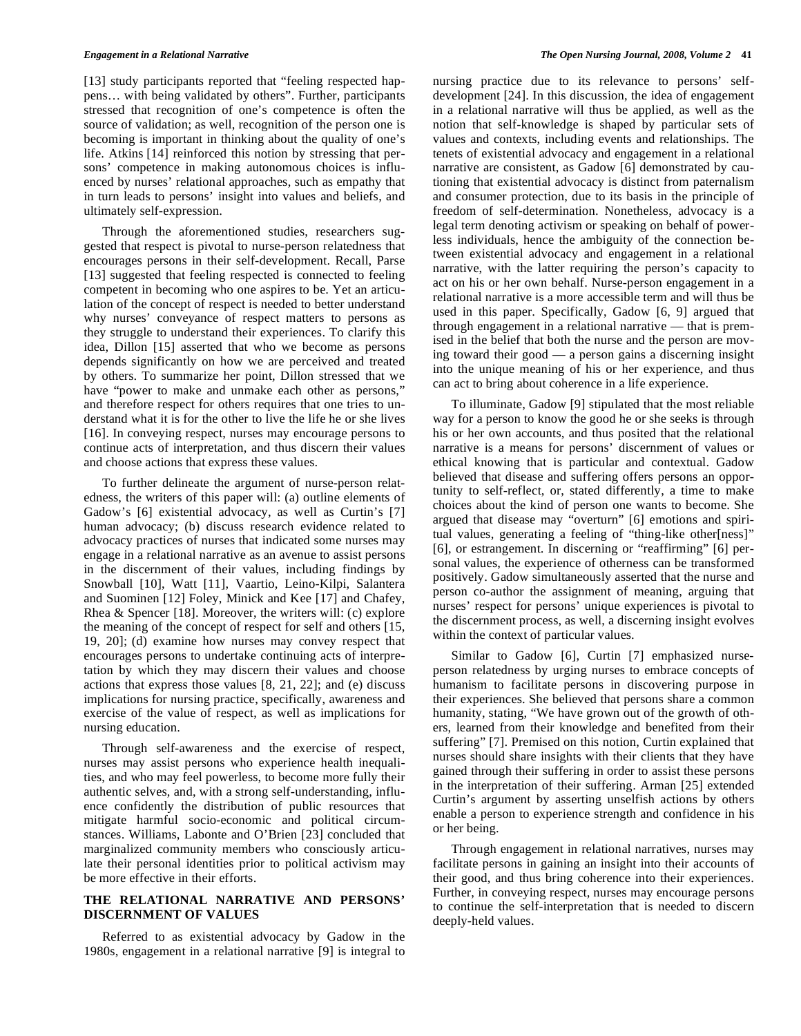[13] study participants reported that "feeling respected happens… with being validated by others". Further, participants stressed that recognition of one's competence is often the source of validation; as well, recognition of the person one is becoming is important in thinking about the quality of one's life. Atkins [14] reinforced this notion by stressing that persons' competence in making autonomous choices is influenced by nurses' relational approaches, such as empathy that in turn leads to persons' insight into values and beliefs, and ultimately self-expression.

 Through the aforementioned studies, researchers suggested that respect is pivotal to nurse-person relatedness that encourages persons in their self-development. Recall, Parse [13] suggested that feeling respected is connected to feeling competent in becoming who one aspires to be. Yet an articulation of the concept of respect is needed to better understand why nurses' conveyance of respect matters to persons as they struggle to understand their experiences. To clarify this idea, Dillon [15] asserted that who we become as persons depends significantly on how we are perceived and treated by others. To summarize her point, Dillon stressed that we have "power to make and unmake each other as persons," and therefore respect for others requires that one tries to understand what it is for the other to live the life he or she lives [16]. In conveying respect, nurses may encourage persons to continue acts of interpretation, and thus discern their values and choose actions that express these values.

 To further delineate the argument of nurse-person relatedness, the writers of this paper will: (a) outline elements of Gadow's [6] existential advocacy, as well as Curtin's [7] human advocacy; (b) discuss research evidence related to advocacy practices of nurses that indicated some nurses may engage in a relational narrative as an avenue to assist persons in the discernment of their values, including findings by Snowball [10], Watt [11], Vaartio, Leino-Kilpi, Salantera and Suominen [12] Foley, Minick and Kee [17] and Chafey, Rhea & Spencer [18]. Moreover, the writers will: (c) explore the meaning of the concept of respect for self and others [15, 19, 20]; (d) examine how nurses may convey respect that encourages persons to undertake continuing acts of interpretation by which they may discern their values and choose actions that express those values [8, 21, 22]; and (e) discuss implications for nursing practice, specifically, awareness and exercise of the value of respect, as well as implications for nursing education.

 Through self-awareness and the exercise of respect, nurses may assist persons who experience health inequalities, and who may feel powerless, to become more fully their authentic selves, and, with a strong self-understanding, influence confidently the distribution of public resources that mitigate harmful socio-economic and political circumstances. Williams, Labonte and O'Brien [23] concluded that marginalized community members who consciously articulate their personal identities prior to political activism may be more effective in their efforts.

## **THE RELATIONAL NARRATIVE AND PERSONS' DISCERNMENT OF VALUES**

 Referred to as existential advocacy by Gadow in the 1980s, engagement in a relational narrative [9] is integral to

nursing practice due to its relevance to persons' selfdevelopment [24]. In this discussion, the idea of engagement in a relational narrative will thus be applied, as well as the notion that self-knowledge is shaped by particular sets of values and contexts, including events and relationships. The tenets of existential advocacy and engagement in a relational narrative are consistent, as Gadow [6] demonstrated by cautioning that existential advocacy is distinct from paternalism and consumer protection, due to its basis in the principle of freedom of self-determination. Nonetheless, advocacy is a legal term denoting activism or speaking on behalf of powerless individuals, hence the ambiguity of the connection between existential advocacy and engagement in a relational narrative, with the latter requiring the person's capacity to act on his or her own behalf. Nurse-person engagement in a relational narrative is a more accessible term and will thus be used in this paper. Specifically, Gadow [6, 9] argued that through engagement in a relational narrative — that is premised in the belief that both the nurse and the person are moving toward their good — a person gains a discerning insight into the unique meaning of his or her experience, and thus can act to bring about coherence in a life experience.

 To illuminate, Gadow [9] stipulated that the most reliable way for a person to know the good he or she seeks is through his or her own accounts, and thus posited that the relational narrative is a means for persons' discernment of values or ethical knowing that is particular and contextual. Gadow believed that disease and suffering offers persons an opportunity to self-reflect, or, stated differently, a time to make choices about the kind of person one wants to become. She argued that disease may "overturn" [6] emotions and spiritual values, generating a feeling of "thing-like other[ness]" [6], or estrangement. In discerning or "reaffirming" [6] personal values, the experience of otherness can be transformed positively. Gadow simultaneously asserted that the nurse and person co-author the assignment of meaning, arguing that nurses' respect for persons' unique experiences is pivotal to the discernment process, as well, a discerning insight evolves within the context of particular values.

 Similar to Gadow [6], Curtin [7] emphasized nurseperson relatedness by urging nurses to embrace concepts of humanism to facilitate persons in discovering purpose in their experiences. She believed that persons share a common humanity, stating, "We have grown out of the growth of others, learned from their knowledge and benefited from their suffering" [7]. Premised on this notion, Curtin explained that nurses should share insights with their clients that they have gained through their suffering in order to assist these persons in the interpretation of their suffering. Arman [25] extended Curtin's argument by asserting unselfish actions by others enable a person to experience strength and confidence in his or her being.

 Through engagement in relational narratives, nurses may facilitate persons in gaining an insight into their accounts of their good, and thus bring coherence into their experiences. Further, in conveying respect, nurses may encourage persons to continue the self-interpretation that is needed to discern deeply-held values.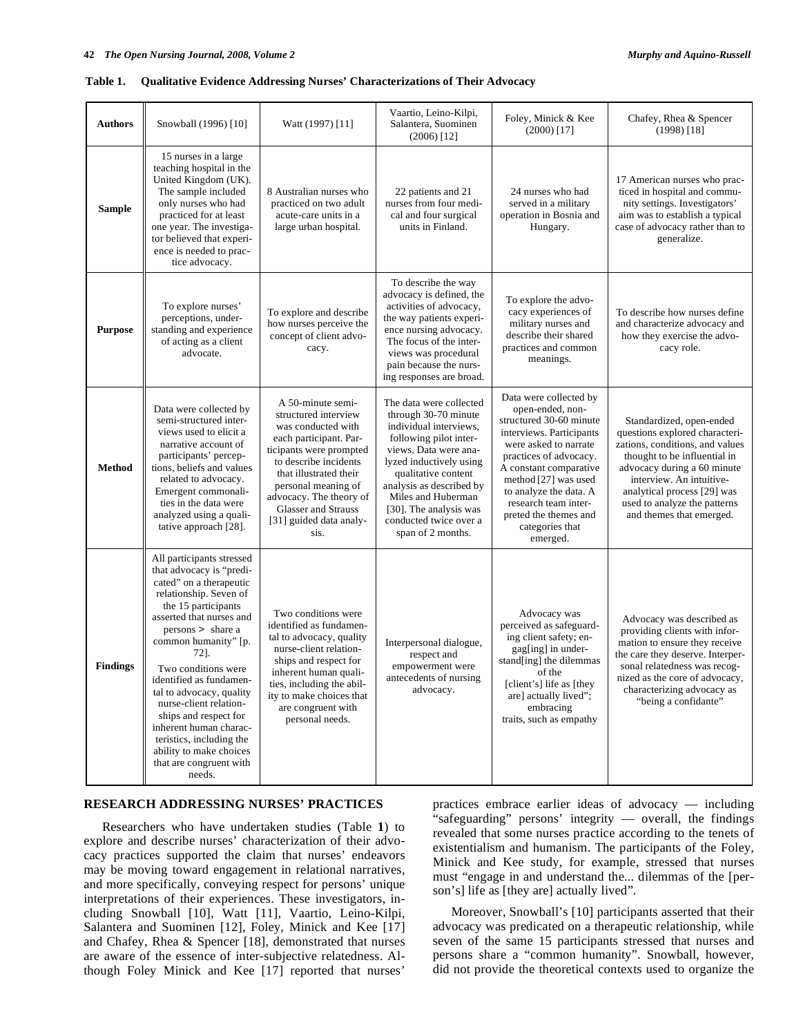|  | Table 1. Qualitative Evidence Addressing Nurses' Characterizations of Their Advocacy |
|--|--------------------------------------------------------------------------------------|
|  |                                                                                      |

| <b>Authors</b>  | Snowball (1996) [10]                                                                                                                                                                                                                                                                                                                                                                                                                                                      | Watt (1997) [11]                                                                                                                                                                                                                                                                    | Vaartio, Leino-Kilpi,<br>Salantera, Suominen<br>$(2006)$ [12]                                                                                                                                                                                                                                             | Foley, Minick & Kee<br>$(2000)$ [17]                                                                                                                                                                                                                                                                             | Chafey, Rhea & Spencer<br>$(1998)$ [18]                                                                                                                                                                                                                                             |
|-----------------|---------------------------------------------------------------------------------------------------------------------------------------------------------------------------------------------------------------------------------------------------------------------------------------------------------------------------------------------------------------------------------------------------------------------------------------------------------------------------|-------------------------------------------------------------------------------------------------------------------------------------------------------------------------------------------------------------------------------------------------------------------------------------|-----------------------------------------------------------------------------------------------------------------------------------------------------------------------------------------------------------------------------------------------------------------------------------------------------------|------------------------------------------------------------------------------------------------------------------------------------------------------------------------------------------------------------------------------------------------------------------------------------------------------------------|-------------------------------------------------------------------------------------------------------------------------------------------------------------------------------------------------------------------------------------------------------------------------------------|
| <b>Sample</b>   | 15 nurses in a large<br>teaching hospital in the<br>United Kingdom (UK).<br>The sample included<br>only nurses who had<br>practiced for at least<br>one year. The investiga-<br>tor believed that experi-<br>ence is needed to prac-<br>tice advocacy.                                                                                                                                                                                                                    | 8 Australian nurses who<br>practiced on two adult<br>acute-care units in a<br>large urban hospital.                                                                                                                                                                                 | 22 patients and 21<br>nurses from four medi-<br>cal and four surgical<br>units in Finland.                                                                                                                                                                                                                | 24 nurses who had<br>served in a military<br>operation in Bosnia and<br>Hungary.                                                                                                                                                                                                                                 | 17 American nurses who prac-<br>ticed in hospital and commu-<br>nity settings. Investigators'<br>aim was to establish a typical<br>case of advocacy rather than to<br>generalize.                                                                                                   |
| <b>Purpose</b>  | To explore nurses'<br>perceptions, under-<br>standing and experience<br>of acting as a client<br>advocate.                                                                                                                                                                                                                                                                                                                                                                | To explore and describe<br>how nurses perceive the<br>concept of client advo-<br>cacy.                                                                                                                                                                                              | To describe the way<br>advocacy is defined, the<br>activities of advocacy,<br>the way patients experi-<br>ence nursing advocacy.<br>The focus of the inter-<br>views was procedural<br>pain because the nurs-<br>ing responses are broad.                                                                 | To explore the advo-<br>cacy experiences of<br>military nurses and<br>describe their shared<br>practices and common<br>meanings.                                                                                                                                                                                 | To describe how nurses define<br>and characterize advocacy and<br>how they exercise the advo-<br>cacy role.                                                                                                                                                                         |
| <b>Method</b>   | Data were collected by<br>semi-structured inter-<br>views used to elicit a<br>narrative account of<br>participants' percep-<br>tions, beliefs and values<br>related to advocacy.<br>Emergent commonali-<br>ties in the data were<br>analyzed using a quali-<br>tative approach [28].                                                                                                                                                                                      | A 50-minute semi-<br>structured interview<br>was conducted with<br>each participant. Par-<br>ticipants were prompted<br>to describe incidents<br>that illustrated their<br>personal meaning of<br>advocacy. The theory of<br>Glasser and Strauss<br>[31] guided data analy-<br>sis. | The data were collected<br>through 30-70 minute<br>individual interviews,<br>following pilot inter-<br>views. Data were ana-<br>lyzed inductively using<br>qualitative content<br>analysis as described by<br>Miles and Huberman<br>[30]. The analysis was<br>conducted twice over a<br>span of 2 months. | Data were collected by<br>open-ended, non-<br>structured 30-60 minute<br>interviews. Participants<br>were asked to narrate<br>practices of advocacy.<br>A constant comparative<br>method [27] was used<br>to analyze the data. A<br>research team inter-<br>preted the themes and<br>categories that<br>emerged. | Standardized, open-ended<br>questions explored characteri-<br>zations, conditions, and values<br>thought to be influential in<br>advocacy during a 60 minute<br>interview. An intuitive-<br>analytical process [29] was<br>used to analyze the patterns<br>and themes that emerged. |
| <b>Findings</b> | All participants stressed<br>that advocacy is "predi-<br>cated" on a therapeutic<br>relationship. Seven of<br>the 15 participants<br>asserted that nurses and<br>persons > share a<br>common humanity" [p.<br>721.<br>Two conditions were<br>identified as fundamen-<br>tal to advocacy, quality<br>nurse-client relation-<br>ships and respect for<br>inherent human charac-<br>teristics, including the<br>ability to make choices<br>that are congruent with<br>needs. | Two conditions were<br>identified as fundamen-<br>tal to advocacy, quality<br>nurse-client relation-<br>ships and respect for<br>inherent human quali-<br>ties, including the abil-<br>ity to make choices that<br>are congruent with<br>personal needs.                            | Interpersonal dialogue,<br>respect and<br>empowerment were<br>antecedents of nursing<br>advocacy.                                                                                                                                                                                                         | Advocacy was<br>perceived as safeguard-<br>ing client safety; en-<br>gag[ing] in under-<br>stand[ing] the dilemmas<br>of the<br>[client's] life as [they<br>are] actually lived";<br>embracing<br>traits, such as empathy                                                                                        | Advocacy was described as<br>providing clients with infor-<br>mation to ensure they receive<br>the care they deserve. Interper-<br>sonal relatedness was recog-<br>nized as the core of advocacy,<br>characterizing advocacy as<br>"being a confidante"                             |

## **RESEARCH ADDRESSING NURSES' PRACTICES**

 Researchers who have undertaken studies (Table **1**) to explore and describe nurses' characterization of their advocacy practices supported the claim that nurses' endeavors may be moving toward engagement in relational narratives, and more specifically, conveying respect for persons' unique interpretations of their experiences. These investigators, including Snowball [10], Watt [11], Vaartio, Leino-Kilpi, Salantera and Suominen [12], Foley, Minick and Kee [17] and Chafey, Rhea & Spencer [18], demonstrated that nurses are aware of the essence of inter-subjective relatedness. Although Foley Minick and Kee [17] reported that nurses'

practices embrace earlier ideas of advocacy — including "safeguarding" persons' integrity — overall, the findings revealed that some nurses practice according to the tenets of existentialism and humanism. The participants of the Foley, Minick and Kee study, for example, stressed that nurses must "engage in and understand the... dilemmas of the [person's] life as [they are] actually lived".

 Moreover, Snowball's [10] participants asserted that their advocacy was predicated on a therapeutic relationship, while seven of the same 15 participants stressed that nurses and persons share a "common humanity". Snowball, however, did not provide the theoretical contexts used to organize the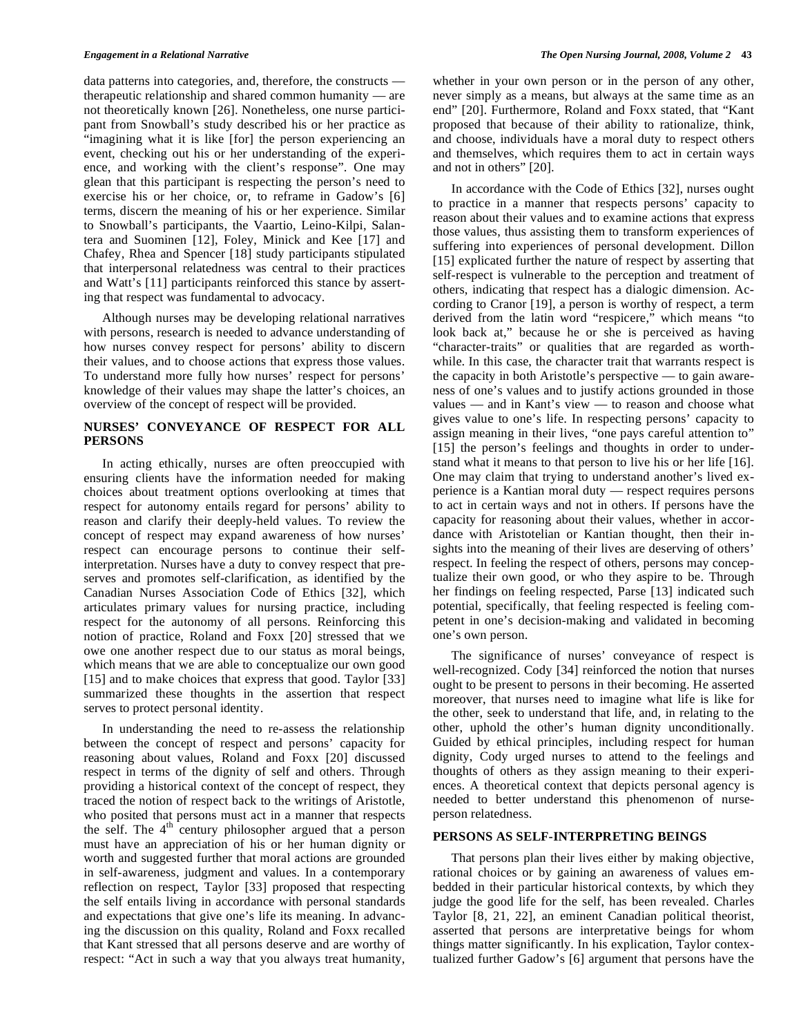data patterns into categories, and, therefore, the constructs therapeutic relationship and shared common humanity — are not theoretically known [26]. Nonetheless, one nurse participant from Snowball's study described his or her practice as "imagining what it is like [for] the person experiencing an event, checking out his or her understanding of the experience, and working with the client's response". One may glean that this participant is respecting the person's need to exercise his or her choice, or, to reframe in Gadow's [6] terms, discern the meaning of his or her experience. Similar to Snowball's participants, the Vaartio, Leino-Kilpi, Salantera and Suominen [12], Foley, Minick and Kee [17] and Chafey, Rhea and Spencer [18] study participants stipulated that interpersonal relatedness was central to their practices and Watt's [11] participants reinforced this stance by asserting that respect was fundamental to advocacy.

 Although nurses may be developing relational narratives with persons, research is needed to advance understanding of how nurses convey respect for persons' ability to discern their values, and to choose actions that express those values. To understand more fully how nurses' respect for persons' knowledge of their values may shape the latter's choices, an overview of the concept of respect will be provided.

## **NURSES' CONVEYANCE OF RESPECT FOR ALL PERSONS**

 In acting ethically, nurses are often preoccupied with ensuring clients have the information needed for making choices about treatment options overlooking at times that respect for autonomy entails regard for persons' ability to reason and clarify their deeply-held values. To review the concept of respect may expand awareness of how nurses' respect can encourage persons to continue their selfinterpretation. Nurses have a duty to convey respect that preserves and promotes self-clarification, as identified by the Canadian Nurses Association Code of Ethics [32], which articulates primary values for nursing practice, including respect for the autonomy of all persons. Reinforcing this notion of practice, Roland and Foxx [20] stressed that we owe one another respect due to our status as moral beings, which means that we are able to conceptualize our own good [15] and to make choices that express that good. Taylor [33] summarized these thoughts in the assertion that respect serves to protect personal identity.

 In understanding the need to re-assess the relationship between the concept of respect and persons' capacity for reasoning about values, Roland and Foxx [20] discussed respect in terms of the dignity of self and others. Through providing a historical context of the concept of respect, they traced the notion of respect back to the writings of Aristotle, who posited that persons must act in a manner that respects the self. The  $4<sup>th</sup>$  century philosopher argued that a person must have an appreciation of his or her human dignity or worth and suggested further that moral actions are grounded in self-awareness, judgment and values. In a contemporary reflection on respect, Taylor [33] proposed that respecting the self entails living in accordance with personal standards and expectations that give one's life its meaning. In advancing the discussion on this quality, Roland and Foxx recalled that Kant stressed that all persons deserve and are worthy of respect: "Act in such a way that you always treat humanity,

whether in your own person or in the person of any other, never simply as a means, but always at the same time as an end" [20]. Furthermore, Roland and Foxx stated, that "Kant proposed that because of their ability to rationalize, think, and choose, individuals have a moral duty to respect others and themselves, which requires them to act in certain ways and not in others" [20].

 In accordance with the Code of Ethics [32], nurses ought to practice in a manner that respects persons' capacity to reason about their values and to examine actions that express those values, thus assisting them to transform experiences of suffering into experiences of personal development. Dillon [15] explicated further the nature of respect by asserting that self-respect is vulnerable to the perception and treatment of others, indicating that respect has a dialogic dimension. According to Cranor [19], a person is worthy of respect, a term derived from the latin word "respicere," which means "to look back at," because he or she is perceived as having "character-traits" or qualities that are regarded as worthwhile. In this case, the character trait that warrants respect is the capacity in both Aristotle's perspective — to gain awareness of one's values and to justify actions grounded in those values — and in Kant's view — to reason and choose what gives value to one's life. In respecting persons' capacity to assign meaning in their lives, "one pays careful attention to" [15] the person's feelings and thoughts in order to understand what it means to that person to live his or her life [16]. One may claim that trying to understand another's lived experience is a Kantian moral duty — respect requires persons to act in certain ways and not in others. If persons have the capacity for reasoning about their values, whether in accordance with Aristotelian or Kantian thought, then their insights into the meaning of their lives are deserving of others' respect. In feeling the respect of others, persons may conceptualize their own good, or who they aspire to be. Through her findings on feeling respected, Parse [13] indicated such potential, specifically, that feeling respected is feeling competent in one's decision-making and validated in becoming one's own person.

 The significance of nurses' conveyance of respect is well-recognized. Cody [34] reinforced the notion that nurses ought to be present to persons in their becoming. He asserted moreover, that nurses need to imagine what life is like for the other, seek to understand that life, and, in relating to the other, uphold the other's human dignity unconditionally. Guided by ethical principles, including respect for human dignity, Cody urged nurses to attend to the feelings and thoughts of others as they assign meaning to their experiences. A theoretical context that depicts personal agency is needed to better understand this phenomenon of nurseperson relatedness.

## **PERSONS AS SELF-INTERPRETING BEINGS**

 That persons plan their lives either by making objective, rational choices or by gaining an awareness of values embedded in their particular historical contexts, by which they judge the good life for the self, has been revealed. Charles Taylor [8, 21, 22], an eminent Canadian political theorist, asserted that persons are interpretative beings for whom things matter significantly. In his explication, Taylor contextualized further Gadow's [6] argument that persons have the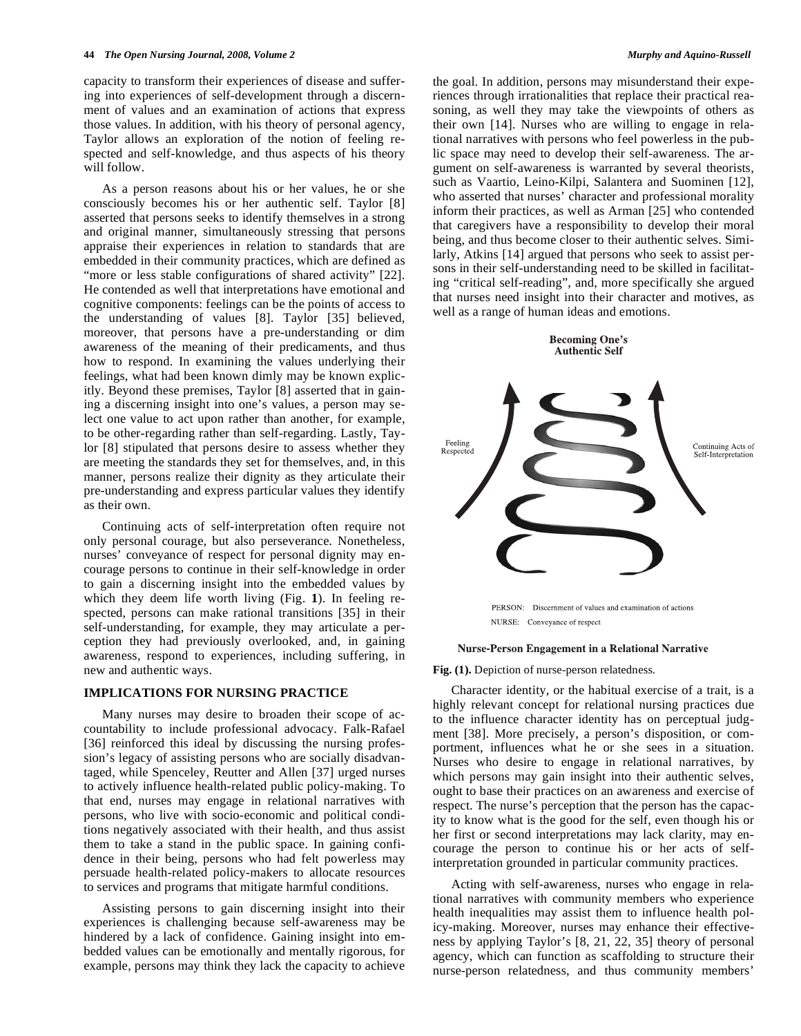capacity to transform their experiences of disease and suffering into experiences of self-development through a discernment of values and an examination of actions that express those values. In addition, with his theory of personal agency, Taylor allows an exploration of the notion of feeling respected and self-knowledge, and thus aspects of his theory will follow.

 As a person reasons about his or her values, he or she consciously becomes his or her authentic self. Taylor [8] asserted that persons seeks to identify themselves in a strong and original manner, simultaneously stressing that persons appraise their experiences in relation to standards that are embedded in their community practices, which are defined as "more or less stable configurations of shared activity" [22]. He contended as well that interpretations have emotional and cognitive components: feelings can be the points of access to the understanding of values [8]. Taylor [35] believed, moreover, that persons have a pre-understanding or dim awareness of the meaning of their predicaments, and thus how to respond. In examining the values underlying their feelings, what had been known dimly may be known explicitly. Beyond these premises, Taylor [8] asserted that in gaining a discerning insight into one's values, a person may select one value to act upon rather than another, for example, to be other-regarding rather than self-regarding. Lastly, Taylor [8] stipulated that persons desire to assess whether they are meeting the standards they set for themselves, and, in this manner, persons realize their dignity as they articulate their pre-understanding and express particular values they identify as their own.

 Continuing acts of self-interpretation often require not only personal courage, but also perseverance. Nonetheless, nurses' conveyance of respect for personal dignity may encourage persons to continue in their self-knowledge in order to gain a discerning insight into the embedded values by which they deem life worth living (Fig. **1**). In feeling respected, persons can make rational transitions [35] in their self-understanding, for example, they may articulate a perception they had previously overlooked, and, in gaining awareness, respond to experiences, including suffering, in new and authentic ways.

## **IMPLICATIONS FOR NURSING PRACTICE**

 Many nurses may desire to broaden their scope of accountability to include professional advocacy. Falk-Rafael [36] reinforced this ideal by discussing the nursing profession's legacy of assisting persons who are socially disadvantaged, while Spenceley, Reutter and Allen [37] urged nurses to actively influence health-related public policy-making. To that end, nurses may engage in relational narratives with persons, who live with socio-economic and political conditions negatively associated with their health, and thus assist them to take a stand in the public space. In gaining confidence in their being, persons who had felt powerless may persuade health-related policy-makers to allocate resources to services and programs that mitigate harmful conditions.

 Assisting persons to gain discerning insight into their experiences is challenging because self-awareness may be hindered by a lack of confidence. Gaining insight into embedded values can be emotionally and mentally rigorous, for example, persons may think they lack the capacity to achieve

the goal. In addition, persons may misunderstand their experiences through irrationalities that replace their practical reasoning, as well they may take the viewpoints of others as their own [14]. Nurses who are willing to engage in relational narratives with persons who feel powerless in the public space may need to develop their self-awareness. The argument on self-awareness is warranted by several theorists, such as Vaartio, Leino-Kilpi, Salantera and Suominen [12], who asserted that nurses' character and professional morality inform their practices, as well as Arman [25] who contended that caregivers have a responsibility to develop their moral being, and thus become closer to their authentic selves. Similarly, Atkins [14] argued that persons who seek to assist persons in their self-understanding need to be skilled in facilitating "critical self-reading", and, more specifically she argued that nurses need insight into their character and motives, as well as a range of human ideas and emotions.

## **Becoming One's Authentic Self**



NURSE: Conveyance of respect

### **Nurse-Person Engagement in a Relational Narrative**

**Fig. (1).** Depiction of nurse-person relatedness.

 Character identity, or the habitual exercise of a trait, is a highly relevant concept for relational nursing practices due to the influence character identity has on perceptual judgment [38]. More precisely, a person's disposition, or comportment, influences what he or she sees in a situation. Nurses who desire to engage in relational narratives, by which persons may gain insight into their authentic selves, ought to base their practices on an awareness and exercise of respect. The nurse's perception that the person has the capacity to know what is the good for the self, even though his or her first or second interpretations may lack clarity, may encourage the person to continue his or her acts of selfinterpretation grounded in particular community practices.

 Acting with self-awareness, nurses who engage in relational narratives with community members who experience health inequalities may assist them to influence health policy-making. Moreover, nurses may enhance their effectiveness by applying Taylor's [8, 21, 22, 35] theory of personal agency, which can function as scaffolding to structure their nurse-person relatedness, and thus community members'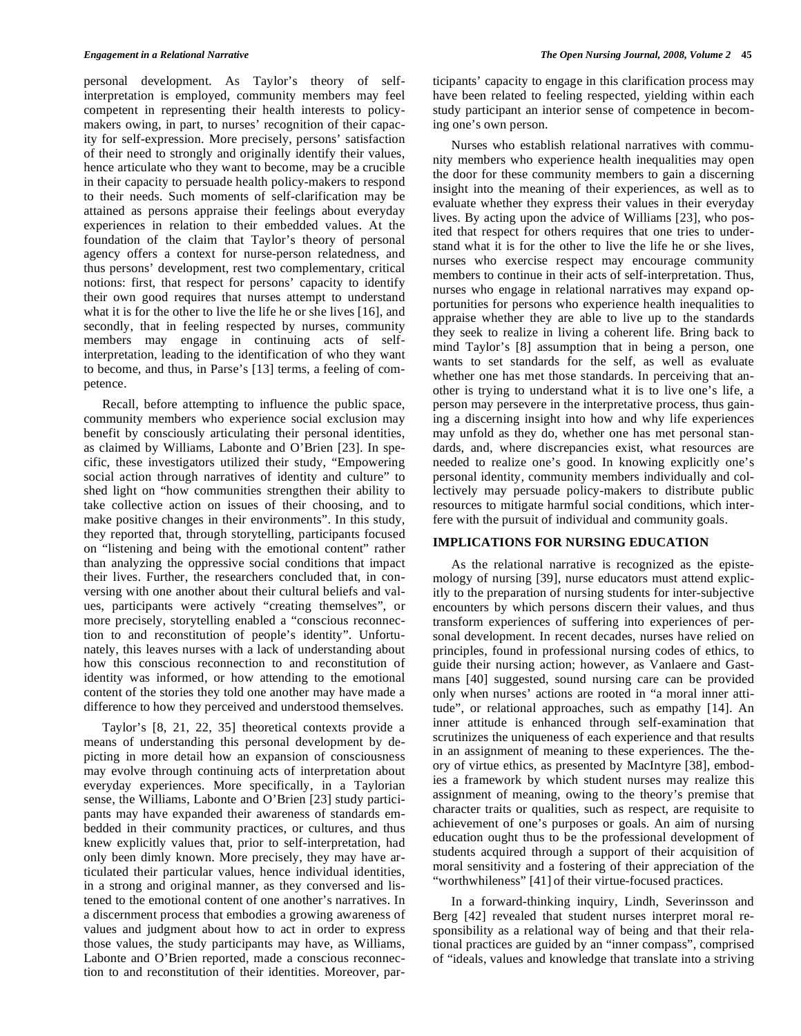personal development. As Taylor's theory of selfinterpretation is employed, community members may feel competent in representing their health interests to policymakers owing, in part, to nurses' recognition of their capacity for self-expression. More precisely, persons' satisfaction of their need to strongly and originally identify their values, hence articulate who they want to become, may be a crucible in their capacity to persuade health policy-makers to respond to their needs. Such moments of self-clarification may be attained as persons appraise their feelings about everyday experiences in relation to their embedded values. At the foundation of the claim that Taylor's theory of personal agency offers a context for nurse-person relatedness, and thus persons' development, rest two complementary, critical notions: first, that respect for persons' capacity to identify their own good requires that nurses attempt to understand what it is for the other to live the life he or she lives [16], and secondly, that in feeling respected by nurses, community members may engage in continuing acts of selfinterpretation, leading to the identification of who they want to become, and thus, in Parse's [13] terms, a feeling of competence.

 Recall, before attempting to influence the public space, community members who experience social exclusion may benefit by consciously articulating their personal identities, as claimed by Williams, Labonte and O'Brien [23]. In specific, these investigators utilized their study, "Empowering social action through narratives of identity and culture" to shed light on "how communities strengthen their ability to take collective action on issues of their choosing, and to make positive changes in their environments". In this study, they reported that, through storytelling, participants focused on "listening and being with the emotional content" rather than analyzing the oppressive social conditions that impact their lives. Further, the researchers concluded that, in conversing with one another about their cultural beliefs and values, participants were actively "creating themselves", or more precisely, storytelling enabled a "conscious reconnection to and reconstitution of people's identity". Unfortunately, this leaves nurses with a lack of understanding about how this conscious reconnection to and reconstitution of identity was informed, or how attending to the emotional content of the stories they told one another may have made a difference to how they perceived and understood themselves.

 Taylor's [8, 21, 22, 35] theoretical contexts provide a means of understanding this personal development by depicting in more detail how an expansion of consciousness may evolve through continuing acts of interpretation about everyday experiences. More specifically, in a Taylorian sense, the Williams, Labonte and O'Brien [23] study participants may have expanded their awareness of standards embedded in their community practices, or cultures, and thus knew explicitly values that, prior to self-interpretation, had only been dimly known. More precisely, they may have articulated their particular values, hence individual identities, in a strong and original manner, as they conversed and listened to the emotional content of one another's narratives. In a discernment process that embodies a growing awareness of values and judgment about how to act in order to express those values, the study participants may have, as Williams, Labonte and O'Brien reported, made a conscious reconnection to and reconstitution of their identities. Moreover, participants' capacity to engage in this clarification process may have been related to feeling respected, yielding within each study participant an interior sense of competence in becoming one's own person.

 Nurses who establish relational narratives with community members who experience health inequalities may open the door for these community members to gain a discerning insight into the meaning of their experiences, as well as to evaluate whether they express their values in their everyday lives. By acting upon the advice of Williams [23], who posited that respect for others requires that one tries to understand what it is for the other to live the life he or she lives, nurses who exercise respect may encourage community members to continue in their acts of self-interpretation. Thus, nurses who engage in relational narratives may expand opportunities for persons who experience health inequalities to appraise whether they are able to live up to the standards they seek to realize in living a coherent life. Bring back to mind Taylor's [8] assumption that in being a person, one wants to set standards for the self, as well as evaluate whether one has met those standards. In perceiving that another is trying to understand what it is to live one's life, a person may persevere in the interpretative process, thus gaining a discerning insight into how and why life experiences may unfold as they do, whether one has met personal standards, and, where discrepancies exist, what resources are needed to realize one's good. In knowing explicitly one's personal identity, community members individually and collectively may persuade policy-makers to distribute public resources to mitigate harmful social conditions, which interfere with the pursuit of individual and community goals.

## **IMPLICATIONS FOR NURSING EDUCATION**

 As the relational narrative is recognized as the epistemology of nursing [39], nurse educators must attend explicitly to the preparation of nursing students for inter-subjective encounters by which persons discern their values, and thus transform experiences of suffering into experiences of personal development. In recent decades, nurses have relied on principles, found in professional nursing codes of ethics, to guide their nursing action; however, as Vanlaere and Gastmans [40] suggested, sound nursing care can be provided only when nurses' actions are rooted in "a moral inner attitude", or relational approaches, such as empathy [14]. An inner attitude is enhanced through self-examination that scrutinizes the uniqueness of each experience and that results in an assignment of meaning to these experiences. The theory of virtue ethics, as presented by MacIntyre [38], embodies a framework by which student nurses may realize this assignment of meaning, owing to the theory's premise that character traits or qualities, such as respect, are requisite to achievement of one's purposes or goals. An aim of nursing education ought thus to be the professional development of students acquired through a support of their acquisition of moral sensitivity and a fostering of their appreciation of the "worthwhileness" [41] of their virtue-focused practices.

 In a forward-thinking inquiry, Lindh, Severinsson and Berg [42] revealed that student nurses interpret moral responsibility as a relational way of being and that their relational practices are guided by an "inner compass", comprised of "ideals, values and knowledge that translate into a striving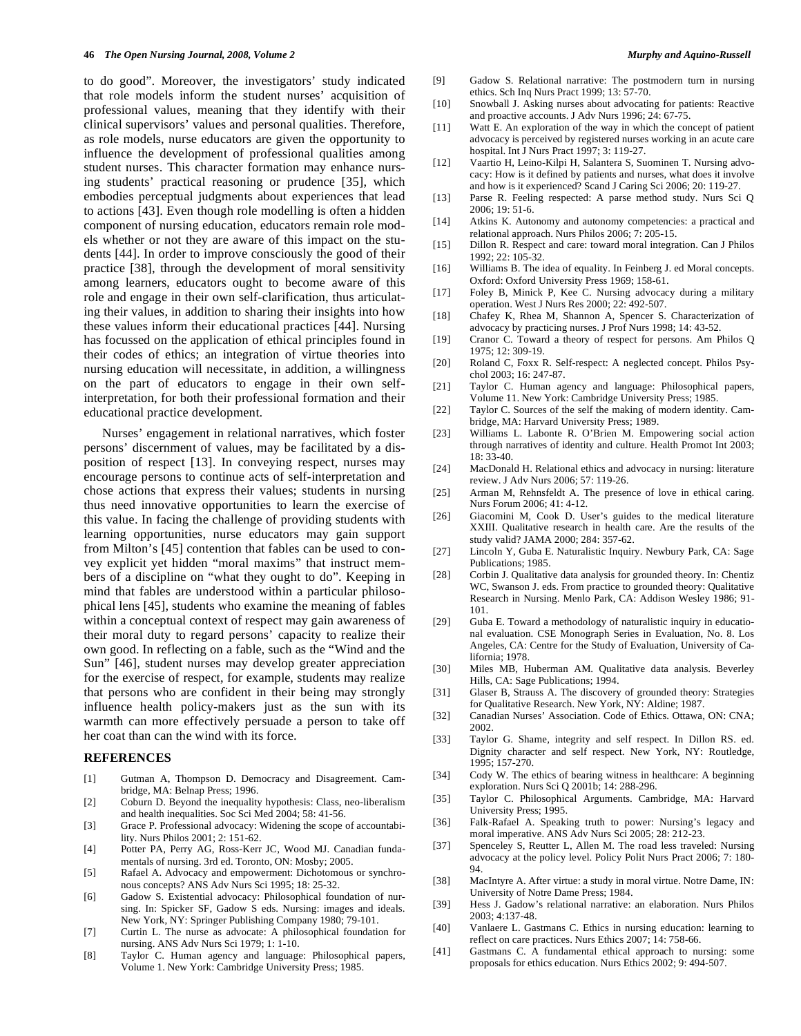to do good". Moreover, the investigators' study indicated that role models inform the student nurses' acquisition of professional values, meaning that they identify with their clinical supervisors' values and personal qualities. Therefore, as role models, nurse educators are given the opportunity to influence the development of professional qualities among student nurses. This character formation may enhance nursing students' practical reasoning or prudence [35], which embodies perceptual judgments about experiences that lead to actions [43]. Even though role modelling is often a hidden component of nursing education, educators remain role models whether or not they are aware of this impact on the students [44]. In order to improve consciously the good of their practice [38], through the development of moral sensitivity among learners, educators ought to become aware of this role and engage in their own self-clarification, thus articulating their values, in addition to sharing their insights into how these values inform their educational practices [44]. Nursing has focussed on the application of ethical principles found in their codes of ethics; an integration of virtue theories into nursing education will necessitate, in addition, a willingness on the part of educators to engage in their own selfinterpretation, for both their professional formation and their educational practice development.

 Nurses' engagement in relational narratives, which foster persons' discernment of values, may be facilitated by a disposition of respect [13]. In conveying respect, nurses may encourage persons to continue acts of self-interpretation and chose actions that express their values; students in nursing thus need innovative opportunities to learn the exercise of this value. In facing the challenge of providing students with learning opportunities, nurse educators may gain support from Milton's [45] contention that fables can be used to convey explicit yet hidden "moral maxims" that instruct members of a discipline on "what they ought to do". Keeping in mind that fables are understood within a particular philosophical lens [45], students who examine the meaning of fables within a conceptual context of respect may gain awareness of their moral duty to regard persons' capacity to realize their own good. In reflecting on a fable, such as the "Wind and the Sun" [46], student nurses may develop greater appreciation for the exercise of respect, for example, students may realize that persons who are confident in their being may strongly influence health policy-makers just as the sun with its warmth can more effectively persuade a person to take off her coat than can the wind with its force.

## **REFERENCES**

- [1] Gutman A, Thompson D. Democracy and Disagreement. Cambridge, MA: Belnap Press; 1996.
- [2] Coburn D. Beyond the inequality hypothesis: Class, neo-liberalism and health inequalities. Soc Sci Med 2004; 58: 41-56.
- [3] Grace P. Professional advocacy: Widening the scope of accountability. Nurs Philos 2001; 2: 151-62.
- [4] Potter PA, Perry AG, Ross-Kerr JC, Wood MJ. Canadian fundamentals of nursing. 3rd ed. Toronto, ON: Mosby; 2005.
- [5] Rafael A. Advocacy and empowerment: Dichotomous or synchronous concepts? ANS Adv Nurs Sci 1995; 18: 25-32.
- [6] Gadow S. Existential advocacy: Philosophical foundation of nursing. In: Spicker SF, Gadow S eds. Nursing: images and ideals. New York, NY: Springer Publishing Company 1980; 79-101.
- [7] Curtin L. The nurse as advocate: A philosophical foundation for nursing. ANS Adv Nurs Sci 1979; 1: 1-10.
- [8] Taylor C. Human agency and language: Philosophical papers, Volume 1. New York: Cambridge University Press; 1985.
- [9] Gadow S. Relational narrative: The postmodern turn in nursing ethics. Sch Inq Nurs Pract 1999; 13: 57-70.
- [10] Snowball J. Asking nurses about advocating for patients: Reactive and proactive accounts. J Adv Nurs 1996; 24: 67-75.
- [11] Watt E. An exploration of the way in which the concept of patient advocacy is perceived by registered nurses working in an acute care hospital. Int J Nurs Pract 1997; 3: 119-27.
- [12] Vaartio H, Leino-Kilpi H, Salantera S, Suominen T. Nursing advocacy: How is it defined by patients and nurses, what does it involve and how is it experienced? Scand J Caring Sci 2006; 20: 119-27.
- [13] Parse R. Feeling respected: A parse method study. Nurs Sci Q 2006; 19: 51-6.
- [14] Atkins K. Autonomy and autonomy competencies: a practical and relational approach. Nurs Philos 2006; 7: 205-15.
- [15] Dillon R. Respect and care: toward moral integration. Can J Philos 1992; 22: 105-32.
- [16] Williams B. The idea of equality. In Feinberg J. ed Moral concepts. Oxford: Oxford University Press 1969; 158-61.
- [17] Foley B, Minick P, Kee C. Nursing advocacy during a military operation. West J Nurs Res 2000; 22: 492-507.
- [18] Chafey K, Rhea M, Shannon A, Spencer S. Characterization of advocacy by practicing nurses. J Prof Nurs 1998; 14: 43-52.
- [19] Cranor C. Toward a theory of respect for persons. Am Philos Q 1975; 12: 309-19.
- [20] Roland C, Foxx R. Self-respect: A neglected concept. Philos Psychol 2003; 16: 247-87.
- [21] Taylor C. Human agency and language: Philosophical papers, Volume 11. New York: Cambridge University Press; 1985.
- [22] Taylor C. Sources of the self the making of modern identity. Cambridge, MA: Harvard University Press; 1989.
- [23] Williams L. Labonte R. O'Brien M. Empowering social action through narratives of identity and culture. Health Promot Int 2003; 18: 33-40.
- [24] MacDonald H. Relational ethics and advocacy in nursing: literature review. J Adv Nurs 2006; 57: 119-26.
- [25] Arman M, Rehnsfeldt A. The presence of love in ethical caring. Nurs Forum 2006; 41: 4-12.
- [26] Giacomini M, Cook D. User's guides to the medical literature XXIII. Qualitative research in health care. Are the results of the study valid? JAMA 2000; 284: 357-62.
- [27] Lincoln Y, Guba E. Naturalistic Inquiry. Newbury Park, CA: Sage Publications; 1985.
- [28] Corbin J. Qualitative data analysis for grounded theory. In: Chentiz WC, Swanson J. eds. From practice to grounded theory: Qualitative Research in Nursing. Menlo Park, CA: Addison Wesley 1986; 91- 101.
- [29] Guba E. Toward a methodology of naturalistic inquiry in educational evaluation. CSE Monograph Series in Evaluation, No. 8. Los Angeles, CA: Centre for the Study of Evaluation, University of California; 1978.
- [30] Miles MB, Huberman AM. Qualitative data analysis. Beverley Hills, CA: Sage Publications; 1994.
- [31] Glaser B, Strauss A. The discovery of grounded theory: Strategies for Qualitative Research. New York, NY: Aldine; 1987.
- [32] Canadian Nurses' Association. Code of Ethics. Ottawa, ON: CNA; 2002.
- [33] Taylor G. Shame, integrity and self respect. In Dillon RS. ed. Dignity character and self respect. New York, NY: Routledge, 1995; 157-270.
- [34] Cody W. The ethics of bearing witness in healthcare: A beginning exploration. Nurs Sci Q 2001b; 14: 288-296.
- [35] Taylor C. Philosophical Arguments. Cambridge, MA: Harvard University Press; 1995.
- [36] Falk-Rafael A. Speaking truth to power: Nursing's legacy and moral imperative. ANS Adv Nurs Sci 2005; 28: 212-23.
- [37] Spenceley S, Reutter L, Allen M. The road less traveled: Nursing advocacy at the policy level. Policy Polit Nurs Pract 2006; 7: 180- 94.
- [38] MacIntyre A. After virtue: a study in moral virtue. Notre Dame, IN: University of Notre Dame Press; 1984.
- [39] Hess J. Gadow's relational narrative: an elaboration. Nurs Philos 2003; 4:137-48.
- [40] Vanlaere L. Gastmans C. Ethics in nursing education: learning to reflect on care practices. Nurs Ethics 2007; 14: 758-66.
- [41] Gastmans C. A fundamental ethical approach to nursing: some proposals for ethics education. Nurs Ethics 2002; 9: 494-507.